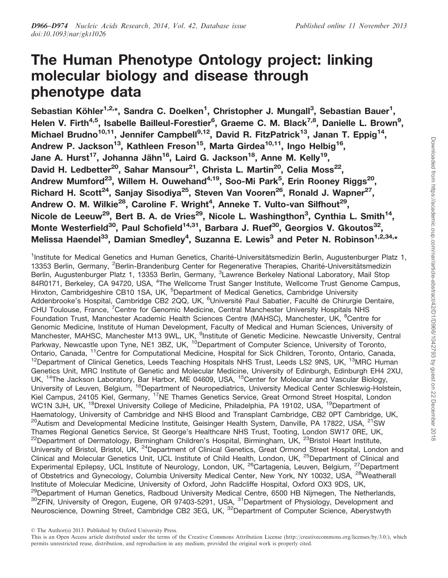# The Human Phenotype Ontology project: linking molecular biology and disease through phenotype data

Sebastian Köhler $^{1,2,*}$ , Sandra C. Doelken $^1$ , Christopher J. Mungall $^3$ , Sebastian Bauer $^1$ , Helen V. Firth<sup>4,5</sup>, Isabelle Bailleul-Forestier<sup>6</sup>, Graeme C. M. Black<sup>7,8</sup>, Danielle L. Brown<sup>9</sup>, Michael Brudno<sup>10,11</sup>, Jennifer Campbell<sup>9,12</sup>, David R. FitzPatrick<sup>13</sup>, Janan T. Eppig<sup>14</sup>, Andrew P. Jackson<sup>13</sup>, Kathleen Freson<sup>15</sup>, Marta Girdea<sup>10,11</sup>, Ingo Helbig<sup>16</sup>, Jane A. Hurst<sup>17</sup>, Johanna Jähn<sup>16</sup>, Laird G. Jackson<sup>18</sup>, Anne M. Kelly<sup>19</sup>, David H. Ledbetter<sup>20</sup>, Sahar Mansour<sup>21</sup>, Christa L. Martin<sup>20</sup>, Celia Moss<sup>22</sup>, Andrew Mumford<sup>23</sup>, Willem H. Ouwehand<sup>4,19</sup>, Soo-Mi Park<sup>5</sup>, Erin Rooney Riggs<sup>20</sup>, Richard H. Scott<sup>24</sup>, Sanjay Sisodiya<sup>25</sup>, Steven Van Vooren<sup>26</sup>, Ronald J. Wapner<sup>27</sup>, Andrew O. M. Wilkie<sup>28</sup>, Caroline F. Wright<sup>4</sup>, Anneke T. Vulto-van Silfhout<sup>29</sup>, Nicole de Leeuw<sup>29</sup>, Bert B. A. de Vries<sup>29</sup>, Nicole L. Washingthon<sup>3</sup>, Cynthia L. Smith<sup>14</sup>, Monte Westerfield<sup>30</sup>, Paul Schofield<sup>14,31</sup>, Barbara J. Ruef<sup>30</sup>, Georgios V. Gkoutos<sup>32</sup>, Melissa Haendel<sup>33</sup>, Damian Smedley<sup>4</sup>, Suzanna E. Lewis<sup>3</sup> and Peter N. Robinson<sup>1,2,34,</sup>\*

<sup>1</sup>Institute for Medical Genetics and Human Genetics, Charité-Universitätsmedizin Berlin, Augustenburger Platz 1, 13353 Berlin, Germany, <sup>2</sup>Berlin-Brandenburg Center for Regenerative Therapies, Charité-Universitätsmedizin Berlin, Augustenburger Platz 1, 13353 Berlin, Germany, <sup>3</sup>Lawrence Berkeley National Laboratory, Mail Stop 84R0171, Berkeley, CA 94720, USA, <sup>4</sup>The Wellcome Trust Sanger Institute, Wellcome Trust Genome Campus, Hinxton, Cambridgeshire CB10 1SA, UK, <sup>5</sup>Department of Medical Genetics, Cambridge University Addenbrooke's Hospital, Cambridge CB2 2QQ, UK, <sup>6</sup>Université Paul Sabatier, Faculté de Chirurgie Dentaire, CHU Toulouse, France, <sup>7</sup>Centre for Genomic Medicine, Central Manchester University Hospitals NHS Foundation Trust, Manchester Academic Health Sciences Centre (MAHSC), Manchester, UK, <sup>8</sup>Centre for Genomic Medicine, Institute of Human Development, Faculty of Medical and Human Sciences, University of Manchester, MAHSC, Manchester M13 9WL, UK, <sup>9</sup>Institute of Genetic Medicine. Newcastle University, Central Parkway, Newcastle upon Tyne, NE1 3BZ, UK, <sup>10</sup>Department of Computer Science, University of Toronto, Ontario, Canada, <sup>11</sup>Centre for Computational Medicine, Hospital for Sick Children, Toronto, Ontario, Canada, <sup>12</sup>Department of Clinical Genetics, Leeds Teaching Hospitals NHS Trust, Leeds LS2 9NS, UK, <sup>13</sup>MRC Human Genetics Unit, MRC Institute of Genetic and Molecular Medicine, University of Edinburgh, Edinburgh EH4 2XU, UK, <sup>14</sup>The Jackson Laboratory, Bar Harbor, ME 04609, USA, <sup>15</sup>Center for Molecular and Vascular Biology, University of Leuven, Belgium, <sup>16</sup>Department of Neuropediatrics, University Medical Center Schleswig-Holstein, Kiel Campus, 24105 Kiel, Germany, <sup>17</sup>NE Thames Genetics Service, Great Ormond Street Hospital, London WC1N 3JH, UK, <sup>18</sup>Drexel University College of Medicine, Philadelphia, PA 19102, USA, <sup>19</sup>Department of Haematology, University of Cambridge and NHS Blood and Transplant Cambridge, CB2 0PT Cambridge, UK,  $20$ Autism and Developmental Medicine Institute, Geisinger Health System, Danville, PA 17822, USA,  $21$ SW Thames Regional Genetics Service, St George's Healthcare NHS Trust, Tooting, London SW17 0RE, UK, <sup>22</sup>Department of Dermatology, Birmingham Children's Hospital, Birmingham, UK,  $^{23}$ Bristol Heart Institute, University of Bristol, Bristol, UK, <sup>24</sup>Department of Clinical Genetics, Great Ormond Street Hospital, London and Clinical and Molecular Genetics Unit, UCL Institute of Child Health, London, UK, 25Department of Clinical and Experimental Epilepsy, UCL Institute of Neurology, London, UK, 26Cartagenia, Leuven, Belgium, 27Department of Obstetrics and Gynecology, Columbia University Medical Center, New York, NY 10032, USA, <sup>28</sup>Weatherall Institute of Molecular Medicine, University of Oxford, John Radcliffe Hospital, Oxford OX3 9DS, UK, <sup>29</sup>Department of Human Genetics, Radboud University Medical Centre, 6500 HB Nijmegen, The Netherlands, <sup>30</sup>ZFIN, University of Oregon, Eugene, OR 97403-5291, USA, <sup>31</sup>Department of Physiology, Development and Neuroscience, Downing Street, Cambridge CB2 3EG, UK, <sup>32</sup>Department of Computer Science, Aberystwyth

<sup>©</sup> The Author(s) 2013. Published by Oxford University Press.

This is an Open Access article distributed under the terms of the Creative Commons Attribution License (http://creativecommons.org/licenses/by/3.0/), which permits unrestricted reuse, distribution, and reproduction in any medium, provided the original work is properly cited.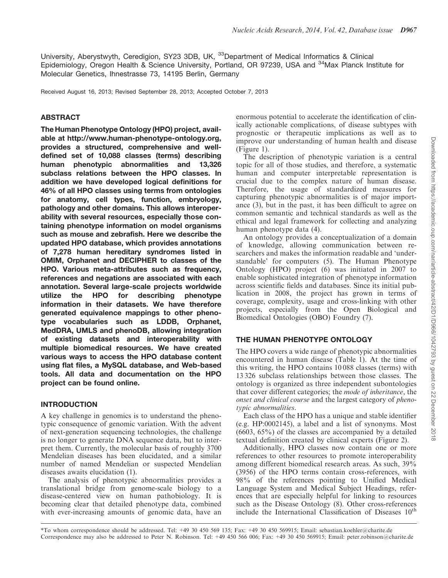University, Aberystwyth, Ceredigion, SY23 3DB, UK, <sup>33</sup>Department of Medical Informatics & Clinical Epidemiology, Oregon Health & Science University, Portland, OR 97239, USA and 34Max Planck Institute for Molecular Genetics, Ihnestrasse 73, 14195 Berlin, Germany

Received August 16, 2013; Revised September 28, 2013; Accepted October 7, 2013

# ABSTRACT

The Human Phenotype Ontology (HPO) project, available at [http://www.human-phenotype-ontology.org,](http://www.human-phenotype-ontology.org) provides a structured, comprehensive and welldefined set of 10,088 classes (terms) describing human phenotypic abnormalities and 13,326 subclass relations between the HPO classes. In addition we have developed logical definitions for 46% of all HPO classes using terms from ontologies for anatomy, cell types, function, embryology, pathology and other domains. This allows interoperability with several resources, especially those containing phenotype information on model organisms such as mouse and zebrafish. Here we describe the updated HPO database, which provides annotations of 7,278 human hereditary syndromes listed in OMIM, Orphanet and DECIPHER to classes of the HPO. Various meta-attributes such as frequency, references and negations are associated with each annotation. Several large-scale projects worldwide utilize the HPO for describing phenotype information in their datasets. We have therefore generated equivalence mappings to other phenotype vocabularies such as LDDB, Orphanet, MedDRA, UMLS and phenoDB, allowing integration of existing datasets and interoperability with multiple biomedical resources. We have created various ways to access the HPO database content using flat files, a MySQL database, and Web-based tools. All data and documentation on the HPO project can be found online.

# INTRODUCTION

A key challenge in genomics is to understand the phenotypic consequence of genomic variation. With the advent of next-generation sequencing technologies, the challenge is no longer to generate DNA sequence data, but to interpret them. Currently, the molecular basis of roughly 3700 Mendelian diseases has been elucidated, and a similar number of named Mendelian or suspected Mendelian diseases awaits elucidation ([1\)](#page-7-0).

The analysis of phenotypic abnormalities provides a translational bridge from genome-scale biology to a disease-centered view on human pathobiology. It is becoming clear that detailed phenotype data, combined with ever-increasing amounts of genomic data, have an enormous potential to accelerate the identification of clinically actionable complications, of disease subtypes with prognostic or therapeutic implications as well as to improve our understanding of human health and disease [\(Figure 1](#page-2-0)).

The description of phenotypic variation is a central topic for all of those studies, and therefore, a systematic human and computer interpretable representation is crucial due to the complex nature of human disease. Therefore, the usage of standardized measures for capturing phenotypic abnormalities is of major importance ([3\)](#page-7-0), but in the past, it has been difficult to agree on common semantic and technical standards as well as the ethical and legal framework for collecting and analyzing human phenotype data [\(4](#page-7-0)).

An ontology provides a conceptualization of a domain of knowledge, allowing communication between researchers and makes the information readable and 'understandable' for computers ([5\)](#page-7-0). The Human Phenotype Ontology (HPO) project ([6\)](#page-7-0) was initiated in 2007 to enable sophisticated integration of phenotype information across scientific fields and databases. Since its initial publication in 2008, the project has grown in terms of coverage, complexity, usage and cross-linking with other projects, especially from the Open Biological and Biomedical Ontologies (OBO) Foundry [\(7](#page-7-0)).

# THE HUMAN PHENOTYPE ONTOLOGY

The HPO covers a wide range of phenotypic abnormalities encountered in human disease [\(Table 1\)](#page-2-0). At the time of this writing, the HPO contains 10 088 classes (terms) with 13 326 subclass relationships between those classes. The ontology is organized as three independent subontologies that cover different categories; the mode of inheritance, the onset and clinical course and the largest category of phenotypic abnormalities.

Each class of the HPO has a unique and stable identifier (e.g. HP:0002145), a label and a list of synonyms. Most (6603, 65%) of the classes are accompanied by a detailed textual definition created by clinical experts [\(Figure 2](#page-2-0)).

Additionally, HPO classes now contain one or more references to other resources to promote interoperability among different biomedical research areas. As such, 39% (3956) of the HPO terms contain cross-references, with 98% of the references pointing to Unified Medical Language System and Medical Subject Headings, references that are especially helpful for linking to resources such as the Disease Ontology [\(8](#page-7-0)). Other cross-references include the International Classification of Diseases 10<sup>th</sup>

\*To whom correspondence should be addressed. Tel: +49 30 450 569 135; Fax: +49 30 450 569915; Email: sebastian.koehler@charite.de Correspondence may also be addressed to Peter N. Robinson. Tel: +49 450 566 006; Fax: +49 30 450 569915; Email: peter.robinson@charite.de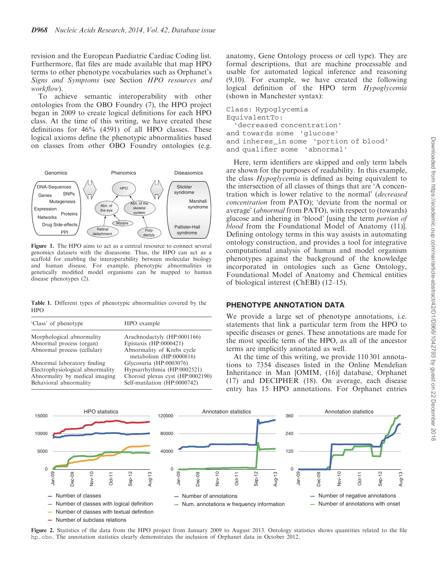<span id="page-2-0"></span>revision and the European Paediatric Cardiac Coding list. Furthermore, flat files are made available that map HPO terms to other phenotype vocabularies such as Orphanet's Signs and Symptoms (see Section HPO resources and workflow).

To achieve semantic interoperability with other ontologies from the OBO Foundry [\(7](#page-7-0)), the HPO project began in 2009 to create logical definitions for each HPO class. At the time of this writing, we have created these definitions for 46% (4591) of all HPO classes. These logical axioms define the phenotypic abnormalities based on classes from other OBO Foundry ontologies (e.g.



Figure 1. The HPO aims to act as a central resource to connect several genomics datasets with the diseasome. Thus, the HPO can act as a scaffold for enabling the interoperability between molecular biology and human disease. For example, phenotypic abnormalities in genetically modified model organisms can be mapped to human disease phenotypes ([2\)](#page-7-0).

Table 1. Different types of phenotypic abnormalities covered by the **HPO** 

| 'Class' of phenotype                                                                                                        | HPO example                                                                                                                                             |
|-----------------------------------------------------------------------------------------------------------------------------|---------------------------------------------------------------------------------------------------------------------------------------------------------|
| Morphological abnormality<br>Abnormal process (organ)<br>Abnormal process (cellular)                                        | Arachnodactyly (HP:0001166)<br>Epistaxis (HP:0000421)<br>Abnormality of Krebs cycle                                                                     |
| Abnormal laboratory finding<br>Electrophysiological abnormality<br>Abnormality by medical imaging<br>Behavioral abnormality | metabolism $(HP:0000816)$<br>Glycosuria (HP:0003076)<br>Hypsarrhythmia (HP:0002521)<br>Choroid plexus cyst (HP:0002190)<br>Self-mutilation (HP:0000742) |

anatomy, Gene Ontology process or cell type). They are formal descriptions, that are machine processable and usable for automated logical inference and reasoning ([9,10](#page-7-0)). For example, we have created the following logical definition of the HPO term Hypoglycemia (shown in Manchester syntax):

```
Class: Hypoglycemia
EquivalentTo:
```
'decreased concentration' and towards some 'glucose' and inheres\_in some 'portion of blood' and qualifier some 'abnormal'

Here, term identifiers are skipped and only term labels are shown for the purposes of readability. In this example, the class Hypoglycemia is defined as being equivalent to the intersection of all classes of things that are 'A concentration which is lower relative to the normal' (decreased concentration from PATO); 'deviate from the normal or average' (abnormal from PATO), with respect to (towards) glucose and inhering in 'blood' [using the term portion of blood from the Foundational Model of Anatomy ([11\)](#page-7-0)]. Defining ontology terms in this way assists in automating ontology construction, and provides a tool for integrative computational analysis of human and model organism phenotypes against the background of the knowledge incorporated in ontologies such as Gene Ontology, Foundational Model of Anatomy and Chemical entities of biological interest (ChEBI) [\(12–15](#page-7-0)).

#### PHENOTYPE ANNOTATION DATA

We provide a large set of phenotype annotations, i.e. statements that link a particular term from the HPO to specific diseases or genes. These annotations are made for the most specific term of the HPO, as all of the ancestor terms are implicitly annotated as well.

At the time of this writing, we provide 110 301 annotations to 7354 diseases listed in the Online Mendelian Inheritance in Man [OMIM, [\(16](#page-7-0))] database, Orphanet ([17\)](#page-7-0) and DECIPHER [\(18](#page-7-0)). On average, each disease entry has 15 HPO annotations. For Orphanet entries



- Number of subclass relations

Figure 2. Statistics of the data from the HPO project from January 2009 to August 2013. Ontology statistics shows quantities related to the file hp.obo. The annotation statistics clearly demonstrates the inclusion of Orphanet data in October 2012.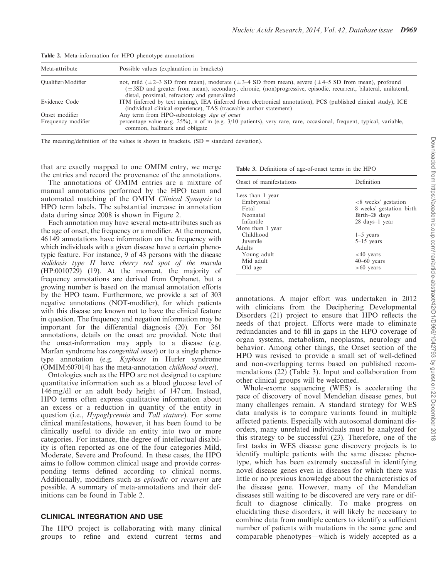| Meta-attribute     | Possible values (explanation in brackets)                                                                                                                                                                                                                                                    |
|--------------------|----------------------------------------------------------------------------------------------------------------------------------------------------------------------------------------------------------------------------------------------------------------------------------------------|
| Oualifier/Modifier | not, mild ( $\pm$ 2–3 SD from mean), moderate ( $\pm$ 3–4 SD from mean), severe ( $\pm$ 4–5 SD from mean), profound<br>$(\pm 5SD)$ and greater from mean), secondary, chronic, (non)progressive, episodic, recurrent, bilateral, unilateral,<br>distal, proximal, refractory and generalized |
| Evidence Code      | ITM (inferred by text mining), IEA (inferred from electronical annotation), PCS (published clinical study), ICE<br>(individual clinical experience), TAS (traceable author statement)                                                                                                        |
| Onset modifier     | Any term from HPO-subontology Age of onset                                                                                                                                                                                                                                                   |
| Frequency modifier | percentage value (e.g. 25%), n of m (e.g. 3/10 patients), very rare, rare, occasional, frequent, typical, variable,<br>common, hallmark and obligate                                                                                                                                         |

Table 2. Meta-information for HPO phenotype annotations

The meaning/definition of the values is shown in brackets.  $(SD = \text{standard deviation})$ .

that are exactly mapped to one OMIM entry, we merge the entries and record the provenance of the annotations.

The annotations of OMIM entries are a mixture of manual annotations performed by the HPO team and automated matching of the OMIM Clinical Synopsis to HPO term labels. The substantial increase in annotation data during since 2008 is shown in [Figure 2](#page-2-0).

Each annotation may have several meta-attributes such as the age of onset, the frequency or a modifier. At the moment, 46 149 annotations have information on the frequency with which individuals with a given disease have a certain phenotypic feature. For instance, 9 of 43 persons with the disease sialidosis type II have cherry red spot of the macula (HP:0010729) [\(19\)](#page-7-0). At the moment, the majority of frequency annotations are derived from Orphanet, but a growing number is based on the manual annotation efforts by the HPO team. Furthermore, we provide a set of 303 negative annotations (NOT-modifier), for which patients with this disease are known not to have the clinical feature in question. The frequency and negation information may be important for the differential diagnosis [\(20\)](#page-7-0). For 361 annotations, details on the onset are provided. Note that the onset-information may apply to a disease (e.g. Marfan syndrome has congenital onset) or to a single phenotype annotation (e.g. Kyphosis in Hurler syndrome (OMIM:607014) has the meta-annotation childhood onset).

Ontologies such as the HPO are not designed to capture quantitative information such as a blood glucose level of 146 mg/dl or an adult body height of 147 cm. Instead, HPO terms often express qualitative information about an excess or a reduction in quantity of the entity in question (i.e., *Hypoglycemia* and *Tall stature*). For some clinical manifestations, however, it has been found to be clinically useful to divide an entity into two or more categories. For instance, the degree of intellectual disability is often reported as one of the four categories Mild, Moderate, Severe and Profound. In these cases, the HPO aims to follow common clinical usage and provide corresponding terms defined according to clinical norms. Additionally, modifiers such as episodic or recurrent are possible. A summary of meta-annotations and their definitions can be found in Table 2.

#### CLINICAL INTEGRATION AND USE

The HPO project is collaborating with many clinical groups to refine and extend current terms and

|  |  |  |  | Table 3. Definitions of age-of-onset terms in the HPO |  |  |  |  |
|--|--|--|--|-------------------------------------------------------|--|--|--|--|
|--|--|--|--|-------------------------------------------------------|--|--|--|--|

| Onset of manifestations | Definition                |
|-------------------------|---------------------------|
| Less than 1 year        |                           |
| Embryonal               | $\leq$ 8 weeks' gestation |
| Fetal                   | 8 weeks' gestation-birth  |
| Neonatal                | Birth-28 days             |
| Infantile               | 28 days-1 year            |
| More than 1 year        |                           |
| Childhood               | $1-5$ years               |
| Juvenile                | $5-15$ years              |
| Adults                  |                           |
| Young adult             | $<40$ years               |
| Mid adult               | $40-60$ years             |
| Old age                 | $>60$ years               |

annotations. A major effort was undertaken in 2012 with clinicians from the Deciphering Developmental Disorders ([21\)](#page-7-0) project to ensure that HPO reflects the needs of that project. Efforts were made to eliminate redundancies and to fill in gaps in the HPO coverage of organ systems, metabolism, neoplasms, neurology and behavior. Among other things, the Onset section of the HPO was revised to provide a small set of well-defined and non-overlapping terms based on published recommendations [\(22](#page-7-0)) (Table 3). Input and collaboration from other clinical groups will be welcomed.

Whole-exome sequencing (WES) is accelerating the pace of discovery of novel Mendelian disease genes, but many challenges remain. A standard strategy for WES data analysis is to compare variants found in multiple affected patients. Especially with autosomal dominant disorders, many unrelated individuals must be analyzed for this strategy to be successful ([23\)](#page-8-0). Therefore, one of the first tasks in WES disease gene discovery projects is to identify multiple patients with the same disease phenotype, which has been extremely successful in identifying novel disease genes even in diseases for which there was little or no previous knowledge about the characteristics of the disease gene. However, many of the Mendelian diseases still waiting to be discovered are very rare or difficult to diagnose clinically. To make progress on elucidating these disorders, it will likely be necessary to combine data from multiple centers to identify a sufficient number of patients with mutations in the same gene and comparable phenotypes—which is widely accepted as a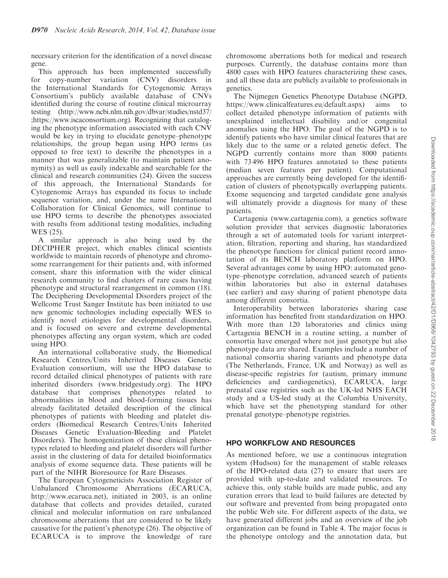necessary criterion for the identification of a novel disease gene.

This approach has been implemented successfully for copy-number variation (CNV) disorders in the International Standards for Cytogenomic Arrays Consortium's publicly available database of CNVs identified during the course of routine clinical microarray testing ([http://www.ncbi.nlm.nih.gov/dbvar/studies/nstd37/](https://www.iscaconsortium.org) [;https://www.iscaconsortium.org\)](https://www.iscaconsortium.org). Recognizing that cataloging the phenotype information associated with each CNV would be key in trying to elucidate genotype–phenotype relationships, the group began using HPO terms (as opposed to free text) to describe the phenotypes in a manner that was generalizable (to maintain patient anonymity) as well as easily indexable and searchable for the clinical and research communities [\(24](#page-8-0)). Given the success of this approach, the International Standards for Cytogenomic Arrays has expanded its focus to include sequence variation, and, under the name International Collaboration for Clinical Genomics, will continue to use HPO terms to describe the phenotypes associated with results from additional testing modalities, including WES [\(25](#page-8-0)).

A similar approach is also being used by the DECIPHER project, which enables clinical scientists worldwide to maintain records of phenotype and chromosome rearrangement for their patients and, with informed consent, share this information with the wider clinical research community to find clusters of rare cases having phenotype and structural rearrangement in common ([18\)](#page-7-0). The Deciphering Developmental Disorders project of the Wellcome Trust Sanger Institute has been initiated to use new genomic technologies including especially WES to identify novel etiologies for developmental disorders, and is focused on severe and extreme developmental phenotypes affecting any organ system, which are coded using HPO.

An international collaborative study, the Biomedical Research Centres/Units Inherited Diseases Genetic Evaluation consortium, will use the HPO database to record detailed clinical phenotypes of patients with rare inherited disorders [\(www.bridgestudy.org](www.bridgestudy.org)). The HPO database that comprises phenotypes related to abnormalities in blood and blood-forming tissues has already facilitated detailed description of the clinical phenotypes of patients with bleeding and platelet disorders (Biomedical Research Centres/Units Inherited Diseases Genetic Evaluation-Bleeding and Platelet Disorders). The homogenization of these clinical phenotypes related to bleeding and platelet disorders will further assist in the clustering of data for detailed bioinformatics analysis of exome sequence data. These patients will be part of the NIHR Bioresource for Rare Diseases.

The European Cytogeneticists Association Register of Unbalanced Chromosome Aberrations (ECARUCA, [http://www.ecaruca.net\)](http://www.ecaruca.net), initiated in 2003, is an online database that collects and provides detailed, curated clinical and molecular information on rare unbalanced chromosome aberrations that are considered to be likely causative for the patient's phenotype [\(26](#page-8-0)). The objective of ECARUCA is to improve the knowledge of rare

chromosome aberrations both for medical and research purposes. Currently, the database contains more than 4800 cases with HPO features characterizing these cases, and all these data are publicly available to professionals in genetics.

The Nijmegen Genetics Phenotype Database (NGPD, <https://www.clinicalfeatures.eu/default.aspx>) aims to collect detailed phenotype information of patients with unexplained intellectual disability and/or congenital anomalies using the HPO. The goal of the NGPD is to identify patients who have similar clinical features that are likely due to the same or a related genetic defect. The NGPD currently contains more than 8000 patients with 73 496 HPO features annotated to these patients (median seven features per patient). Computational approaches are currently being developed for the identification of clusters of phenotypically overlapping patients. Exome sequencing and targeted candidate gene analysis will ultimately provide a diagnosis for many of these patients.

Cartagenia ([www.cartagenia.com\)](www.cartagenia.com), a genetics software solution provider that services diagnostic laboratories through a set of automated tools for variant interpretation, filtration, reporting and sharing, has standardized the phenotype functions for clinical patient record annotation of its BENCH laboratory platform on HPO. Several advantages come by using HPO: automated genotype–phenotype correlation, advanced search of patients within laboratories but also in external databases (see earlier) and easy sharing of patient phenotype data among different consortia.

Interoperability between laboratories sharing case information has benefited from standardization on HPO. With more than 120 laboratories and clinics using Cartagenia BENCH in a routine setting, a number of consortia have emerged where not just genotype but also phenotype data are shared. Examples include a number of national consortia sharing variants and phenotype data (The Netherlands, France, UK and Norway) as well as disease-specific registries for (autism, primary immune deficiencies and cardiogenetics), ECARUCA, large prenatal case registries such as the UK-led NHS EACH study and a US-led study at the Columbia University, which have set the phenotyping standard for other prenatal genotype–phenotype registries.

#### HPO WORKFLOW AND RESOURCES

As mentioned before, we use a continuous integration system (Hudson) for the management of stable releases of the HPO-related data ([27\)](#page-8-0) to ensure that users are provided with up-to-date and validated resources. To achieve this, only stable builds are made public, and any curation errors that lead to build failures are detected by our software and prevented from being propagated onto the public Web site. For different aspects of the data, we have generated different jobs and an overview of the job organization can be found in [Table 4](#page-5-0). The major focus is the phenotype ontology and the annotation data, but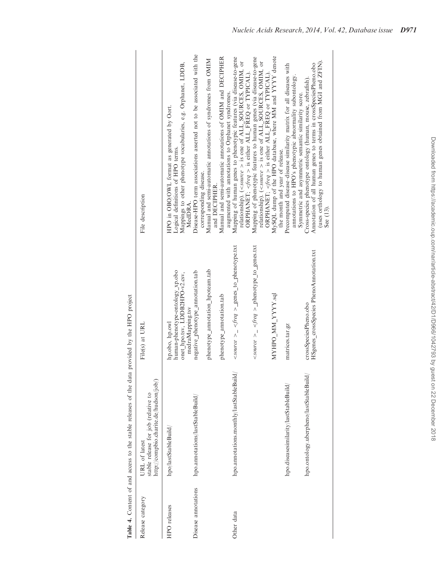<span id="page-5-0"></span>

| Release category    | http://compbio.charite.de/hudson/job/)<br>stable release for job (relative to<br>URL of latest | File(s) at URL                                                                            | File description                                                                                                                                                                                                                                         |
|---------------------|------------------------------------------------------------------------------------------------|-------------------------------------------------------------------------------------------|----------------------------------------------------------------------------------------------------------------------------------------------------------------------------------------------------------------------------------------------------------|
| HPO releases        | hpo/lastStableBuild                                                                            | human-phenotype-ontology_xp.obo<br>onet_hpo.tsv, LDDB2HPO-v2.csv,<br>hp.obo, hp.owl       | Mappings to other phenotype vocabularies, e.g. Orphanet, LDDB,<br>HPO in OBO/OWL format as generated by Oort.<br>Logical definitions of HPO terms.<br>MedDRA                                                                                             |
| Disease annotations | hpo.annotations/lastStableBuild/                                                               | phenotype_annotation_hpoteam.tab<br>negative_phenotype_annotation.tab<br>medraMapping.tsv | Disease-HPO term associations asserted not to be associated with the<br>Manual and semi-automatic annotations of syndromes from OMIM<br>corresponding disease.<br>and DECIPHER.                                                                          |
|                     |                                                                                                | phenotype_annotation.tab                                                                  | Manual and semi-automatic annotations of OMIM and DECIPHER                                                                                                                                                                                               |
| Other data          | hpo.annotations.monthly/lastStableBuild/                                                       | $\langle source \rangle >_0$ $\langle freq \rangle >_0$ genes to phenotype.txt            | Mapping of human genes to phenotypic features (via disease-to-gene<br>relationship). ( <source/> is one of ALL_SOURCES, OMIM, or<br>ORPHANET; $\langle freq \rangle$ is either ALL_FREQ or TYPICAL)<br>augmented with annotations to Orphanet syndromes. |
|                     |                                                                                                | $\langle source \rangle$ = $\langle freq \rangle$ = phenotype_to_genes.txt                | Mapping of phenotypic features to human genes (via disease-to-gene<br>relationship). ( <source/> is one of ALL SOURCES, OMIM, or<br>ORPHANET; $\langle freq \rangle$ is either ALL_FREQ or TYPICAL)                                                      |
|                     |                                                                                                | MYHPO MM YYYY.sql                                                                         | MySQL dump of the HPO database, where MM and YYYY denote<br>the month and year of release.                                                                                                                                                               |
|                     | hpo.diseasesimilarity/lastStableBuild/                                                         | matrices.tar.gz                                                                           | Precomputed disease-disease similarity matrix for all diseases with<br>annotations to HPO's phenotypic abnormality subontology.<br>Symmetric and asymmetric semantic similarity score.                                                                   |
|                     | hpo.ontology.uberpheno/lastStableBuild                                                         | HSgenes_crossSpecies PhenoAnnotation.txt<br>crossSpeciesPheno.obo                         | (uses orthology to human genes obtained from MGI and ZFIN).<br>Annotation of all human genes to terms in crossSpeciesPheno.obo<br>Cross-species phenotype ontology (human, mouse, zebrafish).<br>See (13).                                               |

Table 4. Content of and access to the stable releases of the data provided by the HPO project Table 4. Content of and access to the stable releases of the data provided by the HPO project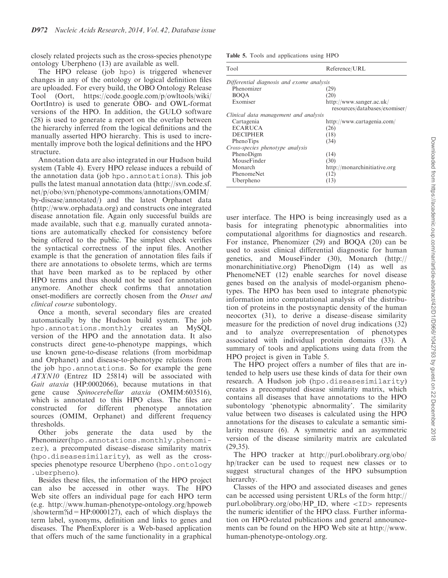closely related projects such as the cross-species phenotype ontology Uberpheno ([13\)](#page-7-0) are available as well.

The HPO release (job hpo) is triggered whenever changes in any of the ontology or logical definition files are uploaded. For every build, the OBO Ontology Release Tool (Oort, [https://code.google.com/p/owltools/wiki/](https://code.google.com/p/owltools/wiki/OortIntro) [OortIntro\)](https://code.google.com/p/owltools/wiki/OortIntro) is used to generate OBO- and OWL-format versions of the HPO. In addition, the GULO software ([28\)](#page-8-0) is used to generate a report on the overlap between the hierarchy inferred from the logical definitions and the manually asserted HPO hierarchy. This is used to incrementally improve both the logical definitions and the HPO structure.

Annotation data are also integrated in our Hudson build system ([Table 4\)](#page-5-0). Every HPO release induces a rebuild of the annotation data (job hpo.annotations). This job pulls the latest manual annotation data [\(http://svn.code.sf.](http://svn.code.sf.net/p/obo/svn/phenotype-commons/annotations/OMIM/by-disease/annotated/) [net/p/obo/svn/phenotype-commons/annotations/OMIM/](http://svn.code.sf.net/p/obo/svn/phenotype-commons/annotations/OMIM/by-disease/annotated/) [by-disease/annotated/](http://svn.code.sf.net/p/obo/svn/phenotype-commons/annotations/OMIM/by-disease/annotated/)) and the latest Orphanet data ([http://www.orphadata.org\)](http://www.orphadata.org) and constructs one integrated disease annotation file. Again only successful builds are made available, such that e.g. manually curated annotations are automatically checked for consistency before being offered to the public. The simplest check verifies the syntactical correctness of the input files. Another example is that the generation of annotation files fails if there are annotations to obsolete terms, which are terms that have been marked as to be replaced by other HPO terms and thus should not be used for annotation anymore. Another check confirms that annotation onset-modifiers are correctly chosen from the Onset and clinical course subontology.

Once a month, several secondary files are created automatically by the Hudson build system. The job hpo.annotations.monthly creates an MySQL version of the HPO and the annotation data. It also constructs direct gene-to-phenotype mappings, which use known gene-to-disease relations (from morbidmap and Orphanet) and disease-to-phenotype relations from the job hpo.annotations. So for example the gene ATXN10 (Entrez ID 25814) will be associated with Gait ataxia (HP:0002066), because mutations in that gene cause Spinocerebellar ataxia (OMIM:603516), which is annotated to this HPO class. The files are constructed for different phenotype annotation sources (OMIM, Orphanet) and different frequency thresholds.

Other jobs generate the data used by the Phenomizer (hpo.annotations.monthly.phenomizer), a precomputed disease–disease similarity matrix (hpo.diseasesimilarity), as well as the crossspecies phenotype resource Uberpheno (hpo.ontology .uberpheno).

Besides these files, the information of the HPO project can also be accessed in other ways. The HPO Web site offers an individual page for each HPO term (e.g. [http://www.human-phenotype-ontology.org/hpoweb](http://www.human-phenotype-ontology.org/hpoweb/showterm?id=HP:0000127)  $\gamma$ showterm?id=HP:0000127), each of which displays the term label, synonyms, definition and links to genes and diseases. The PhenExplorer is a Web-based application that offers much of the same functionality in a graphical

|  |  |  | Table 5. Tools and applications using HPO |  |  |
|--|--|--|-------------------------------------------|--|--|
|--|--|--|-------------------------------------------|--|--|

| Tool                                      | Reference/URL                                             |
|-------------------------------------------|-----------------------------------------------------------|
| Differential diagnosis and exome analysis |                                                           |
| Phenomizer                                | (29)                                                      |
| <b>BOOA</b>                               | (20)                                                      |
| Exomiser                                  | http://www.sanger.ac.uk/<br>resources/databases/exomiser/ |
| Clinical data management and analysis     |                                                           |
| Cartagenia                                | http://www.cartagenia.com/                                |
| <b>ECARUCA</b>                            | (26)                                                      |
| <b>DECIPHER</b>                           | (18)                                                      |
| PhenoTips                                 | (34)                                                      |
| Cross-species phenotype analysis          |                                                           |
| PhenoDigm                                 | (14)                                                      |
| MouseFinder                               | (30)                                                      |
| Monarch                                   | http://monarchinitiative.org                              |
| PhenomeNet                                | (12)                                                      |
| Uberpheno                                 | (13)                                                      |

user interface. The HPO is being increasingly used as a basis for integrating phenotypic abnormalities into computational algorithms for diagnostics and research. For instance, Phenomizer [\(29](#page-8-0)) and BOQA ([20\)](#page-7-0) can be used to assist clinical differential diagnostic for human genetics, and MouseFinder [\(30](#page-8-0)), Monarch ([http://](http://monarchinitiative.org) [monarchinitiative.org\)](http://monarchinitiative.org) PhenoDigm ([14\)](#page-7-0) as well as PhenomeNET ([12\)](#page-7-0) enable searches for novel disease genes based on the analysis of model-organism phenotypes. The HPO has been used to integrate phenotypic information into computational analysis of the distribution of proteins in the postsynaptic density of the human neocortex ([31\)](#page-8-0), to derive a disease–disease similarity measure for the prediction of novel drug indications [\(32](#page-8-0)) and to analyze overrepresentation of phenotypes associated with individual protein domains ([33\)](#page-8-0). A summary of tools and applications using data from the HPO project is given in Table 5.

The HPO project offers a number of files that are intended to help users use these kinds of data for their own research. A Hudson job (hpo.diseasesimilarity) creates a precomputed disease similarity matrix, which contains all diseases that have annotations to the HPO subontology 'phenotypic abnormality'. The similarity value between two diseases is calculated using the HPO annotations for the diseases to calculate a semantic similarity measure [\(6](#page-7-0)). A symmetric and an asymmetric version of the disease similarity matrix are calculated ([29,35](#page-8-0)).

The HPO tracker at [http://purl.obolibrary.org/obo/](http://purl.obolibrary.org/obo/hp/tracker) [hp/tracker](http://purl.obolibrary.org/obo/hp/tracker) can be used to request new classes or to suggest structural changes of the HPO subsumption hierarchy.

Classes of the HPO and associated diseases and genes can be accessed using persistent URLs of the form [http://](http://purl.obolibrary.org/obo/HP_ID) [purl.obolibrary.org/obo/HP\\_ID](http://purl.obolibrary.org/obo/HP_ID), where <ID> represents the numeric identifier of the HPO class. Further information on HPO-related publications and general announcements can be found on the HPO Web site at [http://www.](http://www.human-phenotype-ontology.org) [human-phenotype-ontology.org](http://www.human-phenotype-ontology.org).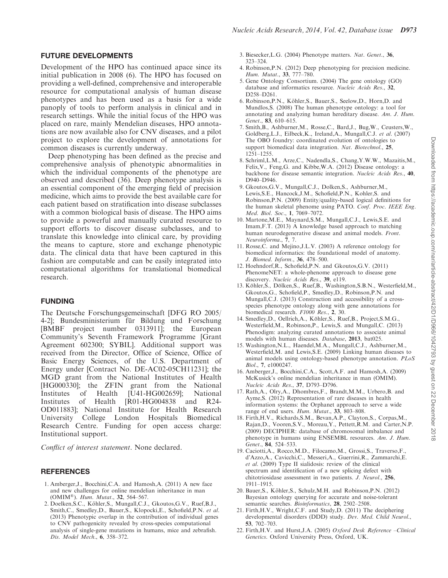# <span id="page-7-0"></span>FUTURE DEVELOPMENTS

Development of the HPO has continued apace since its initial publication in 2008 (6). The HPO has focused on providing a well-defined, comprehensive and interoperable resource for computational analysis of human disease phenotypes and has been used as a basis for a wide panoply of tools to perform analysis in clinical and in research settings. While the initial focus of the HPO was placed on rare, mainly Mendelian diseases, HPO annotations are now available also for CNV diseases, and a pilot project to explore the development of annotations for common diseases is currently underway.

Deep phenotyping has been defined as the precise and comprehensive analysis of phenotypic abnormalities in which the individual components of the phenotype are observed and described  $(36)$  $(36)$ . Deep phenotype analysis is an essential component of the emerging field of precision medicine, which aims to provide the best available care for each patient based on stratification into disease subclasses with a common biological basis of disease. The HPO aims to provide a powerful and manually curated resource to support efforts to discover disease subclasses, and to translate this knowledge into clinical care, by providing the means to capture, store and exchange phenotypic data. The clinical data that have been captured in this fashion are computable and can be easily integrated into computational algorithms for translational biomedical research.

# FUNDING

The Deutsche Forschungsgemeinschaft [DFG RO 2005/ 4-2]; Bundesministerium für Bildung und Forschung [BMBF project number 0313911]; the European Community's Seventh Framework Programme [Grant Agreement 602300; SYBIL]. Additional support was received from the Director, Office of Science, Office of Basic Energy Sciences, of the U.S. Department of Energy under [Contract No. DE-AC02-05CH11231]; the MGD grant from the National Institutes of Health [HG000330]; the ZFIN grant from the National Institutes of Health [U41-HG002659]; National Institutes of Health [R01-HG004838 and R24- OD011883]; National Institute for Health Research University College London Hospitals Biomedical Research Centre. Funding for open access charge: Institutional support.

Conflict of interest statement. None declared.

#### **REFERENCES**

- 1. Amberger,J., Bocchini,C.A. and Hamosh,A. (2011) A new face and new challenges for online mendelian inheritance in man (OMIM®). Hum. Mutat., 32, 564-567.
- 2. Doelken, S.C., Köhler, S., Mungall, C.J., Gkoutos, G.V., Ruef, B.J., Smith,C., Smedley,D., Bauer,S., Klopocki,E., Schofield,P.N. et al. (2013) Phenotypic overlap in the contribution of individual genes to CNV pathogenicity revealed by cross-species computational analysis of single-gene mutations in humans, mice and zebrafish. Dis. Model Mech., 6, 358–372.
- 3. Biesecker,L.G. (2004) Phenotype matters. Nat. Genet., 36, 323–324.
- 4. Robinson,P.N. (2012) Deep phenotyping for precision medicine. Hum. Mutat., 33, 777–780.
- 5. Gene Ontology Consortium. (2004) The gene ontology (GO) database and informatics resource. Nucleic Acids Res., 32, D258–D261.
- 6. Robinson, P.N., Köhler, S., Bauer, S., Seelow, D., Horn, D. and Mundlos,S. (2008) The human phenotype ontology: a tool for annotating and analyzing human hereditary disease. Am. J. Hum. Genet., 83, 610–615.
- 7. Smith,B., Ashburner,M., Rosse,C., Bard,J., Bug,W., Ceusters,W., Goldberg,L.J., Eilbeck,K., Ireland,A., Mungall,C.J. et al. (2007) The OBO foundry: coordinated evolution of ontologies to support biomedical data integration. Nat. Biotechnol., 25, 1251–1255.
- 8. Schriml,L.M., Arze,C., Nadendla,S., Chang,Y.W.W., Mazaitis,M., Felix,V., Feng,G. and Kibbe,W.A. (2012) Disease ontology: a backbone for disease semantic integration. Nucleic Acids Res., 40, D940–D946.
- 9. Gkoutos,G.V., Mungall,C.J., Dolken,S., Ashburner,M., Lewis,S.E., Hancock,J.M., Schofield,P.N., Kohler,S. and Robinson,P.N. (2009) Entity/quality-based logical definitions for the human skeletal phenome using PATO. Conf. Proc. IEEE Eng. Med. Biol. Soc., 1, 7069–7072.
- 10. Martone,M.E., Maynard,S.M., Mungall,C.J., Lewis,S.E. and Imam,F.T. (2013) A knowledge based approach to matching human neurodegenerative disease and animal models. Front. Neuroinforma., 7, 7.
- 11. Rosse,C. and Mejino,J.L.V. (2003) A reference ontology for biomedical informatics: the foundational model of anatomy. J. Biomed. Inform., 36, 478–500.
- 12. Hoehndorf,R., Schofield,P.N. and Gkoutos,G.V. (2011) PhenomeNET: a whole-phenome approach to disease gene discovery. Nucleic Acids Res., 39, e119.
- 13. Köhler,S., Dölken,S., Ruef,B., Washington,S.B.N., Westerfield,M., Gkoutos,G., Schofield,P., Smedley,D., Robinson,P.N. and Mungall,C.J. (2013) Construction and accessibility of a crossspecies phenotype ontology along with gene annotations for biomedical research. F1000 Res., 2, 30.
- 14. Smedley, D., Oellrich, A., Köhler, S., Ruef, B., Project, S.M.G., Westerfield,M., Robinson,P., Lewis,S. and Mungall,C. (2013) Phenodigm: analyzing curated annotations to associate animal models with human diseases. Database, 2013, bat025.
- 15. Washington,N.L., Haendel,M.A., Mungall,C.J., Ashburner,M., Westerfield,M. and Lewis,S.E. (2009) Linking human diseases to animal models using ontology-based phenotype annotation. PLoS Biol., 7, e1000247.
- 16. Amberger,J., Bocchini,C.A., Scott,A.F. and Hamosh,A. (2009) McKusick's online mendelian inheritance in man (OMIM). Nucleic Acids Res., 37, D793–D796.
- 17. Rath,A., Olry,A., Dhombres,F., Brandt,M.M., Urbero,B. and Ayme,S. (2012) Representation of rare diseases in health information systems: the Orphanet approach to serve a wide range of end users. Hum. Mutat., 33, 803-808.
- 18. Firth,H.V., Richards,S.M., Bevan,A.P., Clayton,S., Corpas,M., Rajan,D., Vooren,S.V., Moreau,Y., Pettett,R.M. and Carter,N.P. (2009) DECIPHER: database of chromosomal imbalance and phenotype in humans using ENSEMBL resources. Am. J. Hum. Genet., 84, 524–533.
- 19. Caciotti,A., Rocco,M.D., Filocamo,M., Grossi,S., Traverso,F., d'Azzo,A., Cavicchi,C., Messeri,A., Guerrini,R., Zammarchi,E. et al. (2009) Type II sialidosis: review of the clinical spectrum and identification of a new splicing defect with chitotriosidase assessment in two patients. J. Neurol., 256, 1911–1915.
- 20. Bauer, S., Köhler, S., Schulz, M.H. and Robinson, P.N. (2012) Bayesian ontology querying for accurate and noise-tolerant semantic searches. Bioinformatics, 28, 2502-2508.
- 21. Firth,H.V., Wright,C.F. and Study,D. (2011) The deciphering developmental disorders (DDD) study. Dev. Med. Child Neurol., 53, 702–703.
- 22. Firth, H.V. and Hurst, J.A. (2005) Oxford Desk Reference -Clinical Genetics. Oxford University Press, Oxford, UK.